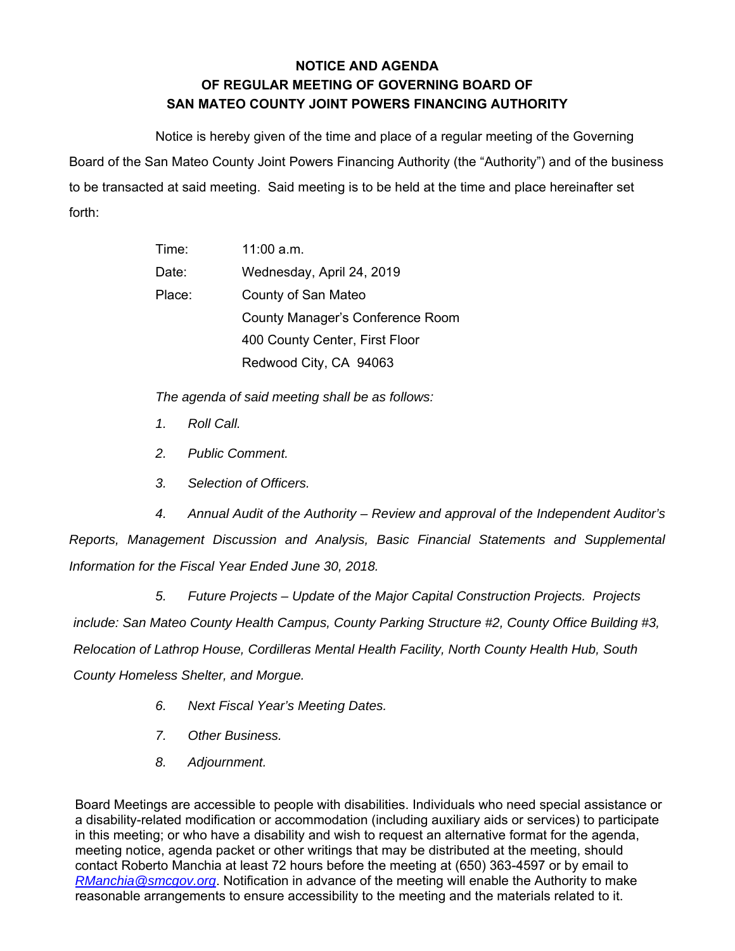## **NOTICE AND AGENDA OF REGULAR MEETING OF GOVERNING BOARD OF SAN MATEO COUNTY JOINT POWERS FINANCING AUTHORITY**

Notice is hereby given of the time and place of a regular meeting of the Governing Board of the San Mateo County Joint Powers Financing Authority (the "Authority") and of the business to be transacted at said meeting. Said meeting is to be held at the time and place hereinafter set forth:

| Time:  | $11:00$ a.m.                     |
|--------|----------------------------------|
| Date:  | Wednesday, April 24, 2019        |
| Place: | County of San Mateo              |
|        | County Manager's Conference Room |
|        | 400 County Center, First Floor   |
|        | Redwood City, CA 94063           |

*The agenda of said meeting shall be as follows:* 

- *1. Roll Call.*
- *2. Public Comment.*
- *3. Selection of Officers.*

*4. Annual Audit of the Authority – Review and approval of the Independent Auditor's Reports, Management Discussion and Analysis, Basic Financial Statements and Supplemental Information for the Fiscal Year Ended June 30, 2018.* 

*5. Future Projects – Update of the Major Capital Construction Projects. Projects include: San Mateo County Health Campus, County Parking Structure #2, County Office Building #3, Relocation of Lathrop House, Cordilleras Mental Health Facility, North County Health Hub, South County Homeless Shelter, and Morgue.* 

- *6. Next Fiscal Year's Meeting Dates.*
- *7. Other Business.*
- *8. Adjournment.*

Board Meetings are accessible to people with disabilities. Individuals who need special assistance or a disability-related modification or accommodation (including auxiliary aids or services) to participate in this meeting; or who have a disability and wish to request an alternative format for the agenda, meeting notice, agenda packet or other writings that may be distributed at the meeting, should contact Roberto Manchia at least 72 hours before the meeting at (650) 363-4597 or by email to *RManchia@smcgov.org*. Notification in advance of the meeting will enable the Authority to make reasonable arrangements to ensure accessibility to the meeting and the materials related to it.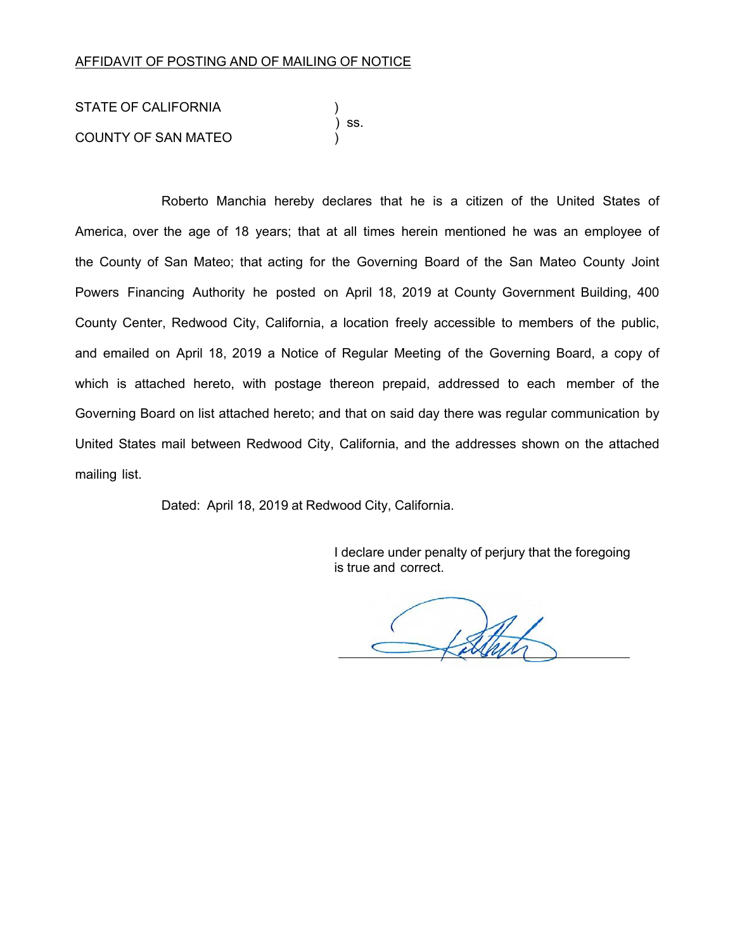## AFFIDAVIT OF POSTING AND OF MAILING OF NOTICE

STATE OF CALIFORNIA ) ss. COUNTY OF SAN MATEO )

Roberto Manchia hereby declares that he is a citizen of the United States of America, over the age of 18 years; that at all times herein mentioned he was an employee of the County of San Mateo; that acting for the Governing Board of the San Mateo County Joint Powers Financing Authority he posted on April 18, 2019 at County Government Building, 400 County Center, Redwood City, California, a location freely accessible to members of the public, and emailed on April 18, 2019 a Notice of Regular Meeting of the Governing Board, a copy of which is attached hereto, with postage thereon prepaid, addressed to each member of the Governing Board on list attached hereto; and that on said day there was regular communication by United States mail between Redwood City, California, and the addresses shown on the attached mailing list.

Dated: April 18, 2019 at Redwood City, California.

I declare under penalty of perjury that the foregoing is true and correct.

fathit